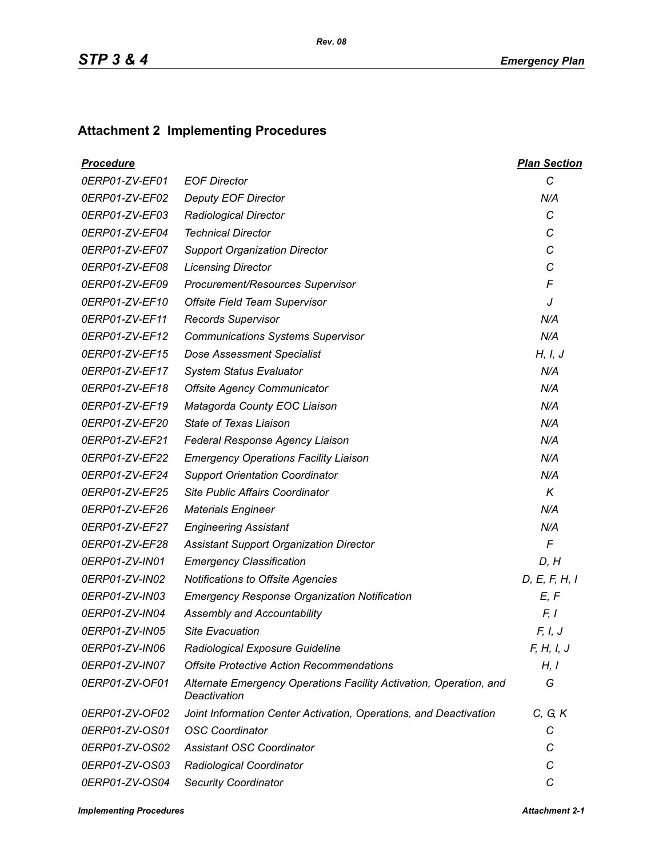## **Attachment 2 Implementing Procedures**

| <b>Procedure</b> |                                                                                    | <b>Plan Section</b> |
|------------------|------------------------------------------------------------------------------------|---------------------|
| 0ERP01-ZV-EF01   | <b>EOF Director</b>                                                                | C                   |
| 0ERP01-ZV-EF02   | <b>Deputy EOF Director</b>                                                         | N/A                 |
| 0ERP01-ZV-EF03   | <b>Radiological Director</b>                                                       | C                   |
| 0ERP01-ZV-EF04   | <b>Technical Director</b>                                                          | C                   |
| 0ERP01-ZV-EF07   | <b>Support Organization Director</b>                                               | C                   |
| 0ERP01-ZV-EF08   | <b>Licensing Director</b>                                                          | C                   |
| 0ERP01-ZV-EF09   | Procurement/Resources Supervisor                                                   | F                   |
| 0ERP01-ZV-EF10   | <b>Offsite Field Team Supervisor</b>                                               | J                   |
| 0ERP01-ZV-EF11   | <b>Records Supervisor</b>                                                          | N/A                 |
| 0ERP01-ZV-EF12   | <b>Communications Systems Supervisor</b>                                           | N/A                 |
| 0ERP01-ZV-EF15   | <b>Dose Assessment Specialist</b>                                                  | H, I, J             |
| 0ERP01-ZV-EF17   | <b>System Status Evaluator</b>                                                     | N/A                 |
| 0ERP01-ZV-EF18   | <b>Offsite Agency Communicator</b>                                                 | N/A                 |
| 0ERP01-ZV-EF19   | Matagorda County EOC Liaison                                                       | N/A                 |
| 0ERP01-ZV-EF20   | State of Texas Liaison                                                             | N/A                 |
| 0ERP01-ZV-EF21   | Federal Response Agency Liaison                                                    | N/A                 |
| 0ERP01-ZV-EF22   | <b>Emergency Operations Facility Liaison</b>                                       | N/A                 |
| 0ERP01-ZV-EF24   | <b>Support Orientation Coordinator</b>                                             | N/A                 |
| 0ERP01-ZV-EF25   | Site Public Affairs Coordinator                                                    | K                   |
| 0ERP01-ZV-EF26   | <b>Materials Engineer</b>                                                          | N/A                 |
| 0ERP01-ZV-EF27   | <b>Engineering Assistant</b>                                                       | N/A                 |
| 0ERP01-ZV-EF28   | <b>Assistant Support Organization Director</b>                                     | $\sqrt{2}$          |
| 0ERP01-ZV-IN01   | <b>Emergency Classification</b>                                                    | D, H                |
| 0ERP01-ZV-IN02   | <b>Notifications to Offsite Agencies</b>                                           | D, E, F, H, I       |
| 0ERP01-ZV-IN03   | <b>Emergency Response Organization Notification</b>                                | E, F                |
| 0ERP01-ZV-IN04   | Assembly and Accountability                                                        | F, I                |
| 0ERP01-ZV-IN05   | <b>Site Evacuation</b>                                                             | F, I, J             |
| 0ERP01-ZV-IN06   | Radiological Exposure Guideline                                                    | F, H, I, J          |
| 0ERP01-ZV-IN07   | <b>Offsite Protective Action Recommendations</b>                                   | H, I                |
| 0ERP01-ZV-OF01   | Alternate Emergency Operations Facility Activation, Operation, and<br>Deactivation | G                   |
| 0ERP01-ZV-OF02   | Joint Information Center Activation, Operations, and Deactivation                  | C, G, K             |
| 0ERP01-ZV-OS01   | <b>OSC Coordinator</b>                                                             | С                   |
| 0ERP01-ZV-OS02   | <b>Assistant OSC Coordinator</b>                                                   | С                   |
| 0ERP01-ZV-OS03   | Radiological Coordinator                                                           | C                   |
| 0ERP01-ZV-OS04   | <b>Security Coordinator</b>                                                        | C                   |